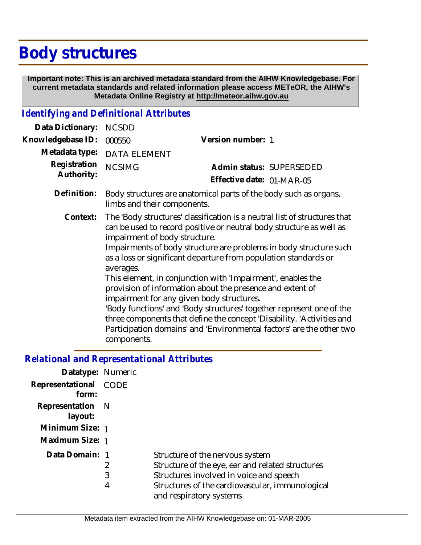## **Body structures**

 **Important note: This is an archived metadata standard from the AIHW Knowledgebase. For current metadata standards and related information please access METeOR, the AIHW's Metadata Online Registry at http://meteor.aihw.gov.au**

## *Identifying and Definitional Attributes*

| Data Dictionary:           | <b>NCSDD</b>                                                                                                                                                                                                                                                                                                                                                                                                                                                                                                                                                                                                                                                                                                                                            |                           |
|----------------------------|---------------------------------------------------------------------------------------------------------------------------------------------------------------------------------------------------------------------------------------------------------------------------------------------------------------------------------------------------------------------------------------------------------------------------------------------------------------------------------------------------------------------------------------------------------------------------------------------------------------------------------------------------------------------------------------------------------------------------------------------------------|---------------------------|
| Knowledgebase ID:          | 000550                                                                                                                                                                                                                                                                                                                                                                                                                                                                                                                                                                                                                                                                                                                                                  | Version number: 1         |
| Metadata type:             | <b>DATA ELEMENT</b>                                                                                                                                                                                                                                                                                                                                                                                                                                                                                                                                                                                                                                                                                                                                     |                           |
| Registration<br>Authority: | <b>NCSIMG</b>                                                                                                                                                                                                                                                                                                                                                                                                                                                                                                                                                                                                                                                                                                                                           | Admin status: SUPERSEDED  |
|                            |                                                                                                                                                                                                                                                                                                                                                                                                                                                                                                                                                                                                                                                                                                                                                         | Effective date: 01-MAR-05 |
| Definition:                | Body structures are anatomical parts of the body such as organs,<br>limbs and their components.                                                                                                                                                                                                                                                                                                                                                                                                                                                                                                                                                                                                                                                         |                           |
| Context:                   | The 'Body structures' classification is a neutral list of structures that<br>can be used to record positive or neutral body structure as well as<br>impairment of body structure.<br>Impairments of body structure are problems in body structure such<br>as a loss or significant departure from population standards or<br>averages.<br>This element, in conjunction with 'Impairment', enables the<br>provision of information about the presence and extent of<br>impairment for any given body structures.<br>'Body functions' and 'Body structures' together represent one of the<br>three components that define the concept 'Disability. 'Activities and<br>Participation domains' and 'Environmental factors' are the other two<br>components. |                           |

## *Relational and Representational Attributes*

| Datatype: Numeric           |             |                                                                                                                                                                                                              |
|-----------------------------|-------------|--------------------------------------------------------------------------------------------------------------------------------------------------------------------------------------------------------------|
| Representational<br>form:   | CODE        |                                                                                                                                                                                                              |
| Representation N<br>layout: |             |                                                                                                                                                                                                              |
| Minimum Size: 1             |             |                                                                                                                                                                                                              |
| Maximum Size: 1             |             |                                                                                                                                                                                                              |
| Data Domain: 1              | 2<br>3<br>4 | Structure of the nervous system<br>Structure of the eye, ear and related structures<br>Structures involved in voice and speech<br>Structures of the cardiovascular, immunological<br>and respiratory systems |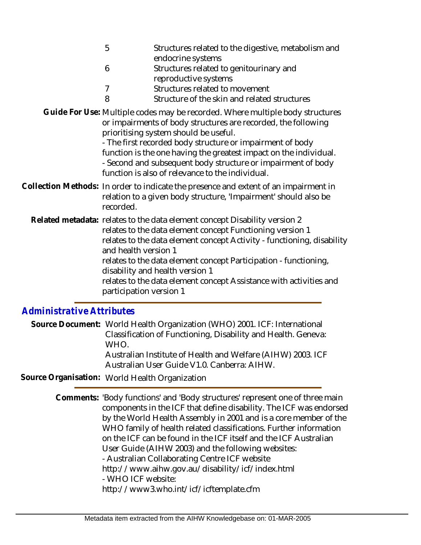- 5 Structures related to the digestive, metabolism and endocrine systems
- 6 Structures related to genitourinary and reproductive systems
- 7 Structures related to movement
- 8 Structure of the skin and related structures
- Guide For Use: Multiple codes may be recorded. Where multiple body structures or impairments of body structures are recorded, the following prioritising system should be useful.

- The first recorded body structure or impairment of body function is the one having the greatest impact on the individual. - Second and subsequent body structure or impairment of body function is also of relevance to the individual.

- Collection Methods: In order to indicate the presence and extent of an impairment in relation to a given body structure, 'Impairment' should also be recorded.
- Related metadata: relates to the data element concept Disability version 2 relates to the data element concept Functioning version 1 relates to the data element concept Activity - functioning, disability and health version 1 relates to the data element concept Participation - functioning, disability and health version 1 relates to the data element concept Assistance with activities and participation version 1

## *Administrative Attributes*

Source Document: World Health Organization (WHO) 2001. ICF: International Classification of Functioning, Disability and Health. Geneva: WHO.

Australian Institute of Health and Welfare (AIHW) 2003. ICF Australian User Guide V1.0. Canberra: AIHW.

**Source Organisation:** World Health Organization

Comments: 'Body functions' and 'Body structures' represent one of three main components in the ICF that define disability. The ICF was endorsed by the World Health Assembly in 2001 and is a core member of the WHO family of health related classifications. Further information on the ICF can be found in the ICF itself and the ICF Australian User Guide (AIHW 2003) and the following websites: - Australian Collaborating Centre ICF website http://www.aihw.gov.au/disability/icf/index.html - WHO ICF website:

http://www3.who.int/icf/icftemplate.cfm